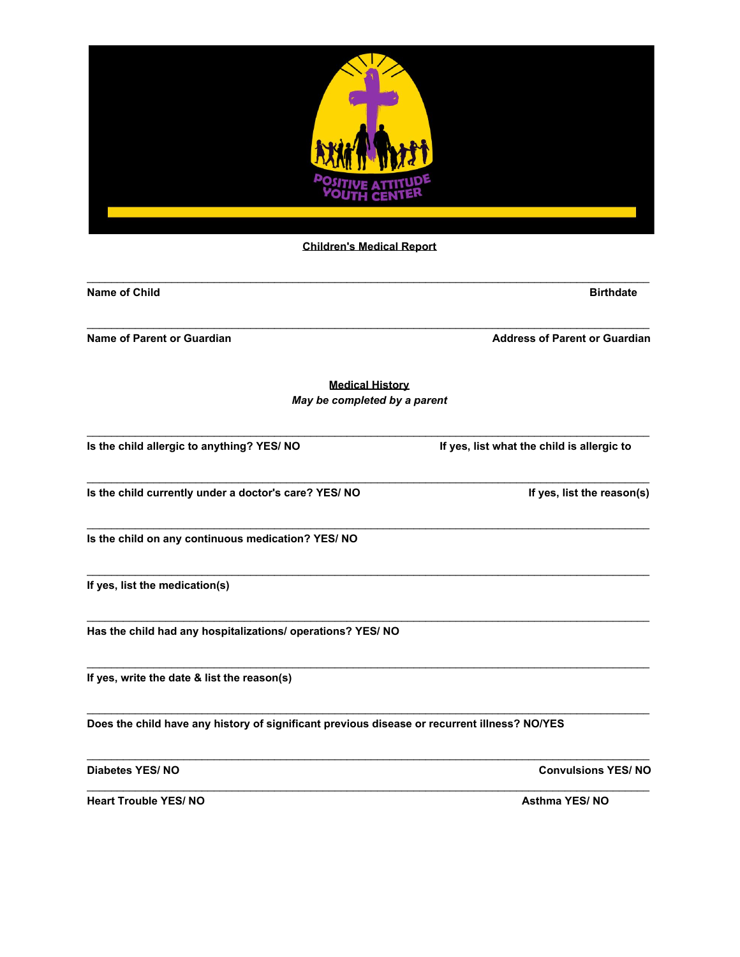

| <b>Name of Child</b>                                                                         | <b>Birthdate</b>                           |
|----------------------------------------------------------------------------------------------|--------------------------------------------|
| <b>Name of Parent or Guardian</b>                                                            | <b>Address of Parent or Guardian</b>       |
| <b>Medical History</b>                                                                       |                                            |
| May be completed by a parent                                                                 |                                            |
| Is the child allergic to anything? YES/ NO                                                   | If yes, list what the child is allergic to |
| Is the child currently under a doctor's care? YES/ NO                                        | If yes, list the reason(s)                 |
| Is the child on any continuous medication? YES/ NO                                           |                                            |
| If yes, list the medication(s)                                                               |                                            |
| Has the child had any hospitalizations/ operations? YES/ NO                                  |                                            |
| If yes, write the date & list the reason(s)                                                  |                                            |
| Does the child have any history of significant previous disease or recurrent illness? NO/YES |                                            |
| <b>Diabetes YES/NO</b>                                                                       | <b>Convulsions YES/NO</b>                  |
| <b>Heart Trouble YES/NO</b>                                                                  | <b>Asthma YES/NO</b>                       |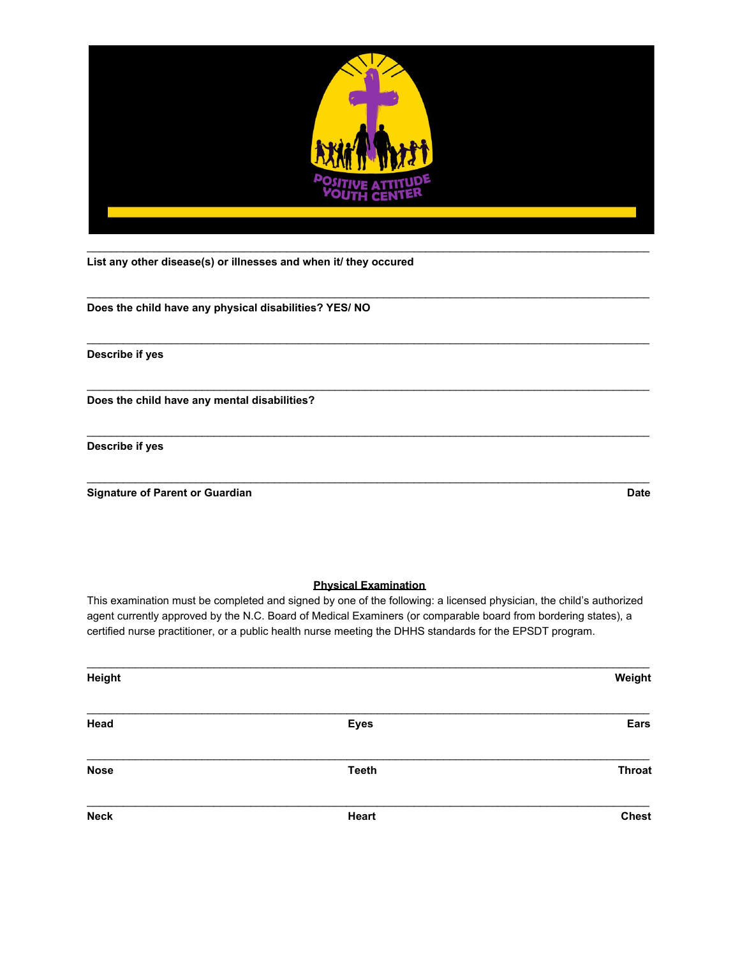

\_\_\_\_\_\_\_\_\_\_\_\_\_\_\_\_\_\_\_\_\_\_\_\_\_\_\_\_\_\_\_\_\_\_\_\_\_\_\_\_\_\_\_\_\_\_\_\_\_\_\_\_\_\_\_\_\_\_\_\_\_\_\_\_\_\_\_\_\_\_\_\_\_\_\_\_\_\_\_\_\_\_\_\_\_\_\_\_\_\_\_\_\_

\_\_\_\_\_\_\_\_\_\_\_\_\_\_\_\_\_\_\_\_\_\_\_\_\_\_\_\_\_\_\_\_\_\_\_\_\_\_\_\_\_\_\_\_\_\_\_\_\_\_\_\_\_\_\_\_\_\_\_\_\_\_\_\_\_\_\_\_\_\_\_\_\_\_\_\_\_\_\_\_\_\_\_\_\_\_\_\_\_\_\_\_\_

\_\_\_\_\_\_\_\_\_\_\_\_\_\_\_\_\_\_\_\_\_\_\_\_\_\_\_\_\_\_\_\_\_\_\_\_\_\_\_\_\_\_\_\_\_\_\_\_\_\_\_\_\_\_\_\_\_\_\_\_\_\_\_\_\_\_\_\_\_\_\_\_\_\_\_\_\_\_\_\_\_\_\_\_\_\_\_\_\_\_\_\_\_

\_\_\_\_\_\_\_\_\_\_\_\_\_\_\_\_\_\_\_\_\_\_\_\_\_\_\_\_\_\_\_\_\_\_\_\_\_\_\_\_\_\_\_\_\_\_\_\_\_\_\_\_\_\_\_\_\_\_\_\_\_\_\_\_\_\_\_\_\_\_\_\_\_\_\_\_\_\_\_\_\_\_\_\_\_\_\_\_\_\_\_\_\_

\_\_\_\_\_\_\_\_\_\_\_\_\_\_\_\_\_\_\_\_\_\_\_\_\_\_\_\_\_\_\_\_\_\_\_\_\_\_\_\_\_\_\_\_\_\_\_\_\_\_\_\_\_\_\_\_\_\_\_\_\_\_\_\_\_\_\_\_\_\_\_\_\_\_\_\_\_\_\_\_\_\_\_\_\_\_\_\_\_\_\_\_\_

**List any other disease(s) or illnesses and when it/ they occured**

**Does the child have any physical disabilities? YES/ NO**

**Describe if yes**

**Does the child have any mental disabilities?**

**Describe if yes**

**Signature of Parent or Guardian Date** 

## **Physical Examination**

This examination must be completed and signed by one of the following: a licensed physician, the child's authorized agent currently approved by the N.C. Board of Medical Examiners (or comparable board from bordering states), a certified nurse practitioner, or a public health nurse meeting the DHHS standards for the EPSDT program.

| Height      |              | Weight        |
|-------------|--------------|---------------|
| Head        | <b>Eyes</b>  | Ears          |
| <b>Nose</b> | <b>Teeth</b> | <b>Throat</b> |
| <b>Neck</b> | <b>Heart</b> | <b>Chest</b>  |